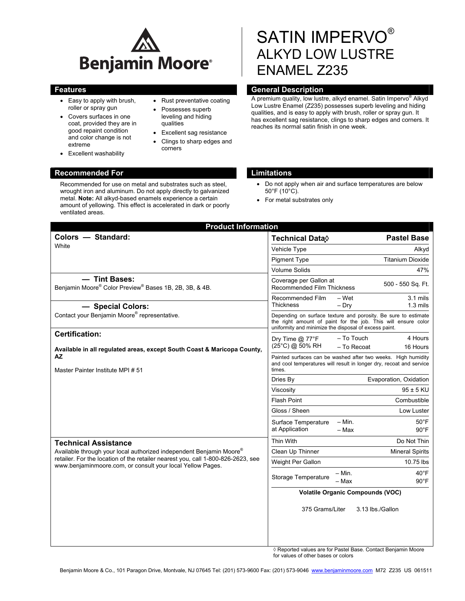

- Easy to apply with brush, roller or spray gun
- Covers surfaces in one coat, provided they are in good repaint condition and color change is not extreme
- Excellent washability

# • Rust preventative coating

- Possesses superb leveling and hiding qualities
- Excellent sag resistance
- Clings to sharp edges and corners

# SATIN IMPERVO® ALKYD LOW LUSTRE ENAMEL Z235

### **Features General Description Contract Description Acts**

A premium quality, low lustre, alkyd enamel. Satin Impervo® Alkyd Low Lustre Enamel (Z235) possesses superb leveling and hiding qualities, and is easy to apply with brush, roller or spray gun. It has excellent sag resistance, clings to sharp edges and corners. It reaches its normal satin finish in one week.

#### **Recommended For Limitations 2018**

Recommended for use on metal and substrates such as steel, wrought iron and aluminum. Do not apply directly to galvanized metal. **Note:** All alkyd-based enamels experience a certain amount of yellowing. This effect is accelerated in dark or poorly ventilated areas.

- Do not apply when air and surface temperatures are below 50°F (10°C).
- For metal substrates only

| <b>Product Information</b>                                                                                                                                                                                                                           |                                                                                                                                                                                          |
|------------------------------------------------------------------------------------------------------------------------------------------------------------------------------------------------------------------------------------------------------|------------------------------------------------------------------------------------------------------------------------------------------------------------------------------------------|
| Colors - Standard:                                                                                                                                                                                                                                   | <b>Pastel Base</b><br>Technical Data◊                                                                                                                                                    |
| White                                                                                                                                                                                                                                                | Vehicle Type<br>Alkyd                                                                                                                                                                    |
|                                                                                                                                                                                                                                                      | <b>Pigment Type</b><br><b>Titanium Dioxide</b>                                                                                                                                           |
|                                                                                                                                                                                                                                                      | <b>Volume Solids</b><br>47%                                                                                                                                                              |
| - Tint Bases:<br>Benjamin Moore® Color Preview® Bases 1B, 2B, 3B, & 4B.                                                                                                                                                                              | Coverage per Gallon at<br>500 - 550 Sq. Ft.<br><b>Recommended Film Thickness</b>                                                                                                         |
| - Special Colors:                                                                                                                                                                                                                                    | Recommended Film<br>– Wet<br>$3.1$ mils<br><b>Thickness</b><br>$-$ Dry<br>$1.3 \text{ miles}$                                                                                            |
| Contact your Benjamin Moore® representative.                                                                                                                                                                                                         | Depending on surface texture and porosity. Be sure to estimate<br>the right amount of paint for the job. This will ensure color<br>uniformity and minimize the disposal of excess paint. |
| <b>Certification:</b><br>Available in all regulated areas, except South Coast & Maricopa County,<br>AZ.<br>Master Painter Institute MPI#51                                                                                                           | 4 Hours<br>– To Touch<br>Dry Time $@$ 77 ${}^{\circ}$ F<br>(25°C) @ 50% RH<br>- To Recoat<br>16 Hours                                                                                    |
|                                                                                                                                                                                                                                                      | Painted surfaces can be washed after two weeks. High humidity<br>and cool temperatures will result in longer dry, recoat and service<br>times.                                           |
|                                                                                                                                                                                                                                                      | Evaporation, Oxidation<br>Dries By                                                                                                                                                       |
|                                                                                                                                                                                                                                                      | $95 \pm 5$ KU<br>Viscosity                                                                                                                                                               |
|                                                                                                                                                                                                                                                      | <b>Flash Point</b><br>Combustible                                                                                                                                                        |
|                                                                                                                                                                                                                                                      | Gloss / Sheen<br>Low Luster                                                                                                                                                              |
|                                                                                                                                                                                                                                                      | $50^{\circ}$ F<br>– Min.<br>Surface Temperature<br>at Application<br>$90^{\circ}$ F<br>– Max                                                                                             |
| <b>Technical Assistance</b><br>Available through your local authorized independent Benjamin Moore®<br>retailer. For the location of the retailer nearest you, call 1-800-826-2623, see<br>www.benjaminmoore.com, or consult your local Yellow Pages. | Do Not Thin<br>Thin With                                                                                                                                                                 |
|                                                                                                                                                                                                                                                      | Clean Up Thinner<br><b>Mineral Spirits</b>                                                                                                                                               |
|                                                                                                                                                                                                                                                      | Weight Per Gallon<br>10.75 lbs                                                                                                                                                           |
|                                                                                                                                                                                                                                                      | $-$ Min.<br>$40^{\circ}$ F<br>Storage Temperature<br>- Max<br>$90^{\circ}$ F                                                                                                             |
|                                                                                                                                                                                                                                                      | <b>Volatile Organic Compounds (VOC)</b>                                                                                                                                                  |
|                                                                                                                                                                                                                                                      | 375 Grams/Liter<br>3.13 lbs./Gallon                                                                                                                                                      |
|                                                                                                                                                                                                                                                      |                                                                                                                                                                                          |

◊ Reported values are for Pastel Base. Contact Benjamin Moore for values of other bases or colors